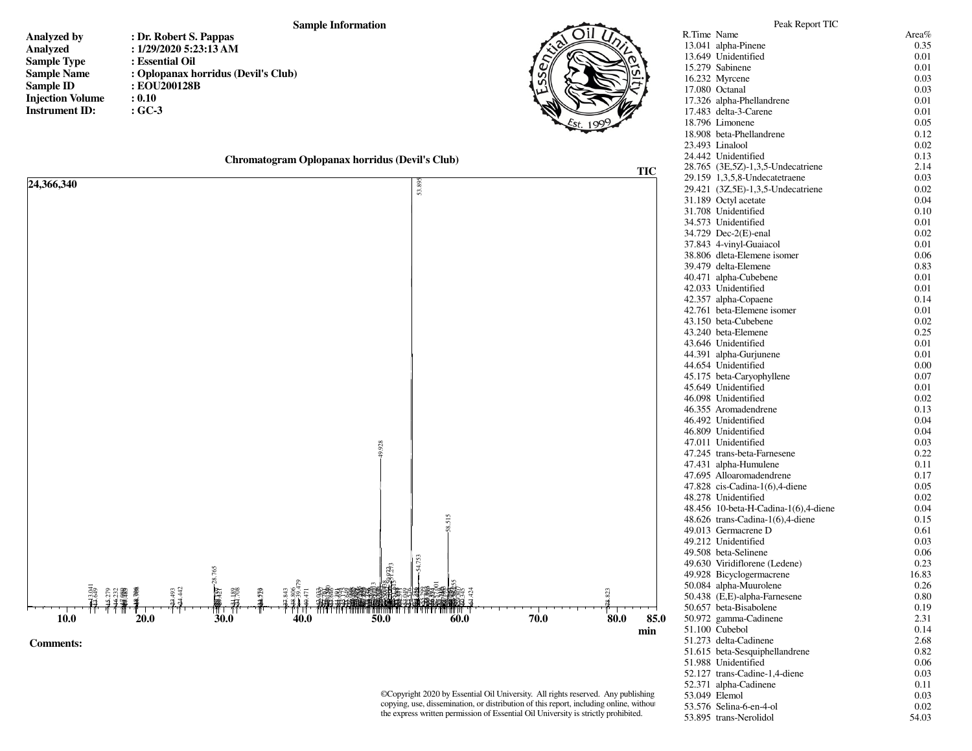## **Sample Information**

- **Analyzed byAnalyzedSample TypeSample NameSample IDInjection VolumeInstrument ID:**
- **: Dr. Robert S. Pappas : 1/29/2020 5:23:13 AM : Essential Oil : Oplopanax horridus (Devil's Club) : EOU200128B : 0.10: GC-3**



|  | Chromatogram Oplopanax horridus (Devil's Club) |  |
|--|------------------------------------------------|--|
|--|------------------------------------------------|--|



©Copyright 2020 by Essential Oil University. All rights reserved. Any publishing, copying, use, dissemination, or distribution of this report, including online, without the express written permission of Essential Oil University is strictly prohibited.

| 13.041 alpha-Pinene                  | 0.35  |
|--------------------------------------|-------|
| 13.649 Unidentified                  | 0.01  |
| 15.279 Sabinene                      | 0.01  |
| 16.232 Myrcene                       | 0.03  |
| 17.080 Octanal                       | 0.03  |
| 17.326 alpha-Phellandrene            | 0.01  |
| 17.483 delta-3-Carene                | 0.01  |
| 18.796 Limonene                      | 0.05  |
| 18.908 beta-Phellandrene             | 0.12  |
| 23.493 Linalool                      | 0.02  |
| 24.442 Unidentified                  | 0.13  |
| 28.765 (3E,5Z)-1,3,5-Undecatriene    | 2.14  |
| 29.159 1,3,5,8-Undecatetraene        | 0.03  |
| 29.421 (3Z,5E)-1,3,5-Undecatriene    | 0.02  |
| 31.189 Octyl acetate                 | 0.04  |
| 31.708 Unidentified                  | 0.10  |
| 34.573 Unidentified                  | 0.01  |
| 34.729 Dec-2(E)-enal                 | 0.02  |
| 37.843 4-vinyl-Guaiacol              | 0.01  |
| 38.806 dleta-Elemene isomer          | 0.06  |
| 39.479 delta-Elemene                 | 0.83  |
| 40.471 alpha-Cubebene                | 0.01  |
| 42.033 Unidentified                  | 0.01  |
| 42.357 alpha-Copaene                 | 0.14  |
| 42.761 beta-Elemene isomer           | 0.01  |
| 43.150 beta-Cubebene                 | 0.02  |
| 43.240 beta-Elemene                  | 0.25  |
| 43.646 Unidentified                  | 0.01  |
| 44.391 alpha-Gurjunene               | 0.01  |
| 44.654 Unidentified                  | 0.00  |
| 45.175 beta-Caryophyllene            | 0.07  |
| 45.649 Unidentified                  | 0.01  |
| 46.098 Unidentified                  | 0.02  |
| 46.355 Aromadendrene                 | 0.13  |
| 46.492 Unidentified                  | 0.04  |
| 46.809 Unidentified                  | 0.04  |
| 47.011 Unidentified                  | 0.03  |
| 47.245 trans-beta-Farnesene          | 0.22  |
| 47.431 alpha-Humulene                | 0.11  |
| 47.695 Alloaromadendrene             | 0.17  |
| $47.828$ cis-Cadina-1(6),4-diene     | 0.05  |
| 48.278 Unidentified                  | 0.02  |
| 48.456 10-beta-H-Cadina-1(6),4-diene | 0.04  |
| 48.626 trans-Cadina-1(6),4-diene     | 0.15  |
| 49.013 Germacrene D                  | 0.61  |
| 49.212 Unidentified                  | 0.03  |
| 49.508 beta-Selinene                 | 0.06  |
| 49.630 Viridiflorene (Ledene)        | 0.23  |
| 49.928 Bicyclogermacrene             | 16.83 |
| 50.084 alpha-Muurolene               | 0.26  |
| 50.438 (E,E)-alpha-Farnesene         | 0.80  |
| 50.657 beta-Bisabolene               | 0.19  |
| 50.972 gamma-Cadinene                | 2.31  |
| 51.100 Cubebol                       | 0.14  |
| 51.273 delta-Cadinene                | 2.68  |
| 51.615 beta-Sesquiphellandrene       | 0.82  |
| 51.988 Unidentified                  | 0.06  |
| 52.127 trans-Cadine-1,4-diene        | 0.03  |
| 52.371 alpha-Cadinene                | 0.11  |
| 53.049 Elemol                        | 0.03  |
| 53.576 Selina-6-en-4-ol              | 0.02  |

53.895 trans-Nerolidol

54.03

Peak Report TICR.Time Name Area%